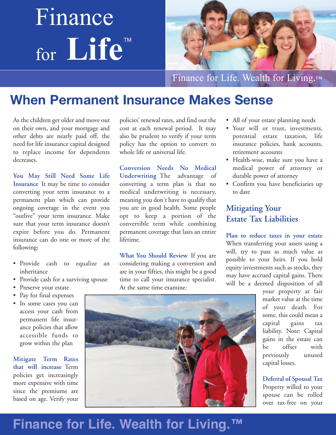# Finance for **Life** TM



Finance for Life. Wealth for Living.™

### **When Permanent Insurance Makes Sense**

As the children get older and move out on their own, and your mortgage and other debts are nearly paid off, the need for life insurance capital designed to replace income for dependents decreases.

**You May Still Need Some Life Insurance** It may be time to consider converting your term insurance to a permanent plan which can provide ongoing coverage in the event you "outlive" your term insurance. Make sure that your term insurance doesn't expire before you do. Permanent insurance can do one or more of the following:

- Provide cash to equalize an inheritance
- Provide cash for a surviving spouse
- Preserve your estate
- Pay for final expenses
- In some cases you can access your cash from permanent life insur ance policies that allow accessible funds to grow within the plan

**Mitigate Term Rates that will increase** Term policies get increasingly more expensive with time since the premiums are based on age. Verify your policies' renewal rates, and find out the cost at each renewal period. It may also be prudent to verify if your term policy has the option to convert to whole life or universal life.

**Conversion Needs No Medical Underwriting** The advantage of converting a term plan is that no medical underwriting is necessary, meaning you don't have to qualify that you are in good health. Some people opt to keep a portion of the convertible term while combining permanent coverage that lasts an entire lifetime.

**What You Should Review** If you are considering making a conversion and are in your fifties, this might be a good time to call your insurance specialist. At the same time examine:

- All of your estate planning needs
- Your will or trust, investments, potential estate taxation, life insurance policies, bank accounts, retirement accounts
- Health-wise, make sure you have a medical power of attorney or durable power of attorney
- Confirm you have beneficiaries up to date

#### **Mitigating Your Estate Tax Liabilities**

**Plan to reduce taxes in your estate** When transferring your assets using a will, try to pass as much value as possible to your heirs. If you hold equity investments such as stocks, they may have accrued capital gains. There will be a deemed disposition of all

> your property at fair market value at the time of your death. For some, this could mean a capital gains tax liability. Note: Capital gains in the estate can be offset with previously unused capital losses.

**Deferral of Spousal Tax** Property willed to your spouse can be rolled over tax-free on your



## **Finance for Life. Wealth for Living.™**